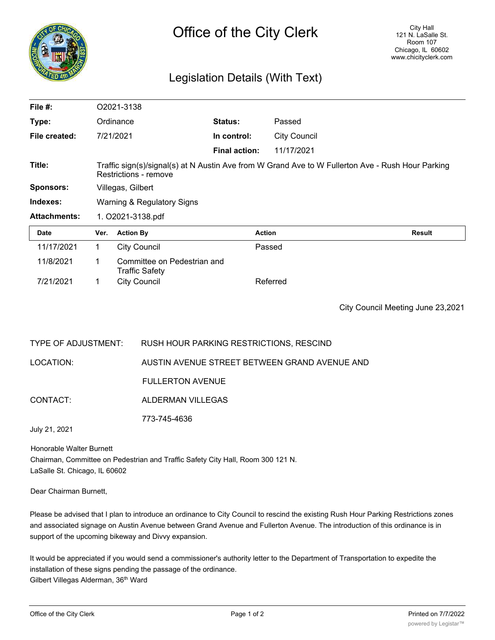

## Legislation Details (With Text)

| File $#$ :          | O2021-3138                                                                                                                 |                                                      |                      |                     |        |
|---------------------|----------------------------------------------------------------------------------------------------------------------------|------------------------------------------------------|----------------------|---------------------|--------|
| Type:               |                                                                                                                            | Ordinance                                            | Status:              | Passed              |        |
| File created:       |                                                                                                                            | 7/21/2021                                            | In control:          | <b>City Council</b> |        |
|                     |                                                                                                                            |                                                      | <b>Final action:</b> | 11/17/2021          |        |
| Title:              | Traffic sign(s)/signal(s) at N Austin Ave from W Grand Ave to W Fullerton Ave - Rush Hour Parking<br>Restrictions - remove |                                                      |                      |                     |        |
| <b>Sponsors:</b>    | Villegas, Gilbert                                                                                                          |                                                      |                      |                     |        |
| Indexes:            | Warning & Regulatory Signs                                                                                                 |                                                      |                      |                     |        |
| <b>Attachments:</b> | 1. O2021-3138.pdf                                                                                                          |                                                      |                      |                     |        |
| <b>Date</b>         | Ver.                                                                                                                       | <b>Action By</b>                                     | <b>Action</b>        |                     | Result |
| 11/17/2021          | 1                                                                                                                          | <b>City Council</b>                                  |                      | Passed              |        |
| 11/8/2021           | 1.                                                                                                                         | Committee on Pedestrian and<br><b>Traffic Safety</b> |                      |                     |        |
| 7/21/2021           |                                                                                                                            | <b>City Council</b>                                  |                      | Referred            |        |

City Council Meeting June 23,2021

| TYPE OF ADJUSTMENT: | RUSH HOUR PARKING RESTRICTIONS, RESCIND       |
|---------------------|-----------------------------------------------|
| LOCATION:           | AUSTIN AVENUE STREET BETWEEN GRAND AVENUE AND |
|                     | <b>FULLERTON AVENUE</b>                       |
| CONTACT:            | ALDERMAN VILLEGAS                             |
|                     | 773-745-4636                                  |
| July 21, 2021       |                                               |

Honorable Walter Burnett Chairman, Committee on Pedestrian and Traffic Safety City Hall, Room 300 121 N. LaSalle St. Chicago, IL 60602

Dear Chairman Burnett,

Please be advised that I plan to introduce an ordinance to City Council to rescind the existing Rush Hour Parking Restrictions zones and associated signage on Austin Avenue between Grand Avenue and Fullerton Avenue. The introduction of this ordinance is in support of the upcoming bikeway and Divvy expansion.

It would be appreciated if you would send a commissioner's authority letter to the Department of Transportation to expedite the installation of these signs pending the passage of the ordinance. Gilbert Villegas Alderman, 36<sup>th</sup> Ward